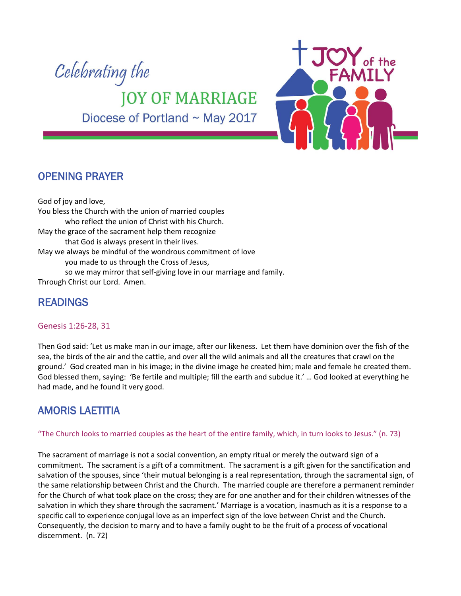

Diocese of Portland ~ May 2017



## OPENING PRAYER

God of joy and love, You bless the Church with the union of married couples who reflect the union of Christ with his Church. May the grace of the sacrament help them recognize that God is always present in their lives. May we always be mindful of the wondrous commitment of love you made to us through the Cross of Jesus, so we may mirror that self-giving love in our marriage and family. Through Christ our Lord. Amen.

# READINGS

#### Genesis 1:26-28, 31

Then God said: 'Let us make man in our image, after our likeness. Let them have dominion over the fish of the sea, the birds of the air and the cattle, and over all the wild animals and all the creatures that crawl on the ground.' God created man in his image; in the divine image he created him; male and female he created them. God blessed them, saying: 'Be fertile and multiple; fill the earth and subdue it.' … God looked at everything he had made, and he found it very good.

## AMORIS LAETITIA

"The Church looks to married couples as the heart of the entire family, which, in turn looks to Jesus." (n. 73)

The sacrament of marriage is not a social convention, an empty ritual or merely the outward sign of a commitment. The sacrament is a gift of a commitment. The sacrament is a gift given for the sanctification and salvation of the spouses, since 'their mutual belonging is a real representation, through the sacramental sign, of the same relationship between Christ and the Church. The married couple are therefore a permanent reminder for the Church of what took place on the cross; they are for one another and for their children witnesses of the salvation in which they share through the sacrament.' Marriage is a vocation, inasmuch as it is a response to a specific call to experience conjugal love as an imperfect sign of the love between Christ and the Church. Consequently, the decision to marry and to have a family ought to be the fruit of a process of vocational discernment. (n. 72)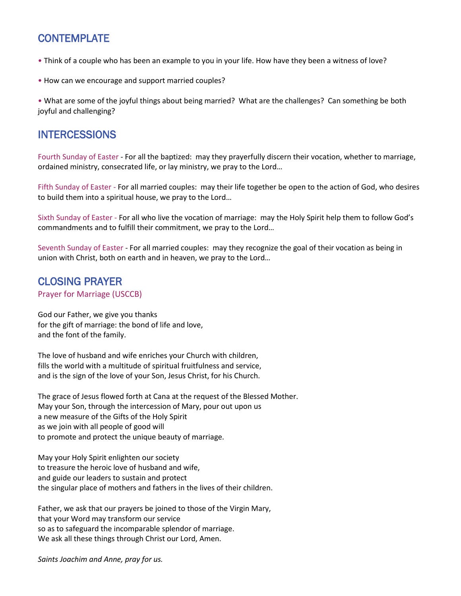# **CONTEMPLATE**

- Think of a couple who has been an example to you in your life. How have they been a witness of love?
- How can we encourage and support married couples?

• What are some of the joyful things about being married? What are the challenges? Can something be both joyful and challenging?

### **INTERCESSIONS**

Fourth Sunday of Easter - For all the baptized: may they prayerfully discern their vocation, whether to marriage, ordained ministry, consecrated life, or lay ministry, we pray to the Lord…

Fifth Sunday of Easter - For all married couples: may their life together be open to the action of God, who desires to build them into a spiritual house, we pray to the Lord…

Sixth Sunday of Easter - For all who live the vocation of marriage: may the Holy Spirit help them to follow God's commandments and to fulfill their commitment, we pray to the Lord…

Seventh Sunday of Easter - For all married couples: may they recognize the goal of their vocation as being in union with Christ, both on earth and in heaven, we pray to the Lord…

## CLOSING PRAYER

Prayer for Marriage (USCCB)

God our Father, we give you thanks for the gift of marriage: the bond of life and love, and the font of the family.

The love of husband and wife enriches your Church with children, fills the world with a multitude of spiritual fruitfulness and service, and is the sign of the love of your Son, Jesus Christ, for his Church.

The grace of Jesus flowed forth at Cana at the request of the Blessed Mother. May your Son, through the intercession of Mary, pour out upon us a new measure of the Gifts of the Holy Spirit as we join with all people of good will to promote and protect the unique beauty of marriage.

May your Holy Spirit enlighten our society to treasure the heroic love of husband and wife, and guide our leaders to sustain and protect the singular place of mothers and fathers in the lives of their children.

Father, we ask that our prayers be joined to those of the Virgin Mary, that your Word may transform our service so as to safeguard the incomparable splendor of marriage. We ask all these things through Christ our Lord, Amen.

*Saints Joachim and Anne, pray for us.*